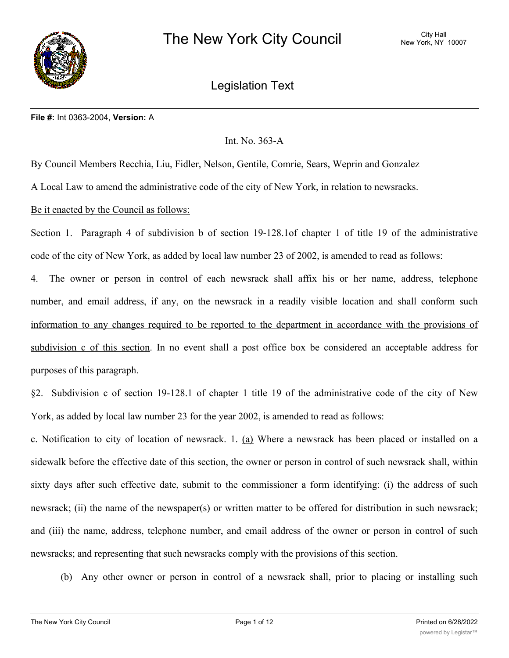

Legislation Text

#### **File #:** Int 0363-2004, **Version:** A

# Int. No. 363-A

By Council Members Recchia, Liu, Fidler, Nelson, Gentile, Comrie, Sears, Weprin and Gonzalez

A Local Law to amend the administrative code of the city of New York, in relation to newsracks.

# Be it enacted by the Council as follows:

Section 1. Paragraph 4 of subdivision b of section 19-128.1of chapter 1 of title 19 of the administrative code of the city of New York, as added by local law number 23 of 2002, is amended to read as follows:

4. The owner or person in control of each newsrack shall affix his or her name, address, telephone number, and email address, if any, on the newsrack in a readily visible location and shall conform such information to any changes required to be reported to the department in accordance with the provisions of subdivision c of this section. In no event shall a post office box be considered an acceptable address for purposes of this paragraph.

§2. Subdivision c of section 19-128.1 of chapter 1 title 19 of the administrative code of the city of New York, as added by local law number 23 for the year 2002, is amended to read as follows:

c. Notification to city of location of newsrack. 1. (a) Where a newsrack has been placed or installed on a sidewalk before the effective date of this section, the owner or person in control of such newsrack shall, within sixty days after such effective date, submit to the commissioner a form identifying: (i) the address of such newsrack; (ii) the name of the newspaper(s) or written matter to be offered for distribution in such newsrack; and (iii) the name, address, telephone number, and email address of the owner or person in control of such newsracks; and representing that such newsracks comply with the provisions of this section.

(b) Any other owner or person in control of a newsrack shall, prior to placing or installing such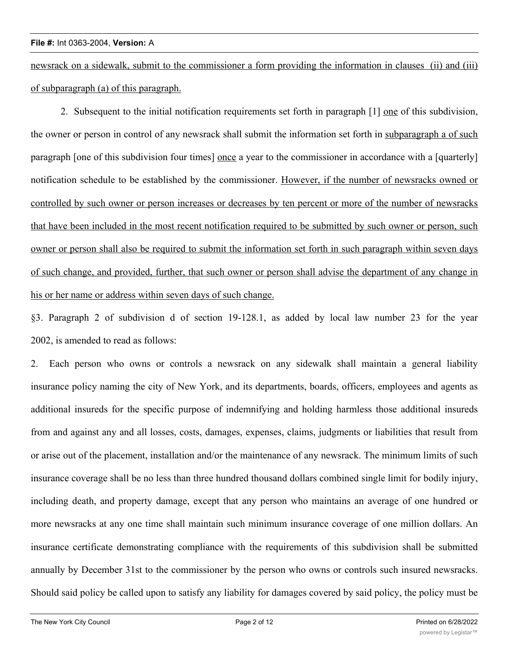newsrack on a sidewalk, submit to the commissioner a form providing the information in clauses (ii) and (iii) of subparagraph (a) of this paragraph.

2. Subsequent to the initial notification requirements set forth in paragraph [1] one of this subdivision, the owner or person in control of any newsrack shall submit the information set forth in subparagraph a of such paragraph [one of this subdivision four times] once a year to the commissioner in accordance with a [quarterly] notification schedule to be established by the commissioner. However, if the number of newsracks owned or controlled by such owner or person increases or decreases by ten percent or more of the number of newsracks that have been included in the most recent notification required to be submitted by such owner or person, such owner or person shall also be required to submit the information set forth in such paragraph within seven days of such change, and provided, further, that such owner or person shall advise the department of any change in his or her name or address within seven days of such change.

§3. Paragraph 2 of subdivision d of section 19-128.1, as added by local law number 23 for the year 2002, is amended to read as follows:

2. Each person who owns or controls a newsrack on any sidewalk shall maintain a general liability insurance policy naming the city of New York, and its departments, boards, officers, employees and agents as additional insureds for the specific purpose of indemnifying and holding harmless those additional insureds from and against any and all losses, costs, damages, expenses, claims, judgments or liabilities that result from or arise out of the placement, installation and/or the maintenance of any newsrack. The minimum limits of such insurance coverage shall be no less than three hundred thousand dollars combined single limit for bodily injury, including death, and property damage, except that any person who maintains an average of one hundred or more newsracks at any one time shall maintain such minimum insurance coverage of one million dollars. An insurance certificate demonstrating compliance with the requirements of this subdivision shall be submitted annually by December 31st to the commissioner by the person who owns or controls such insured newsracks. Should said policy be called upon to satisfy any liability for damages covered by said policy, the policy must be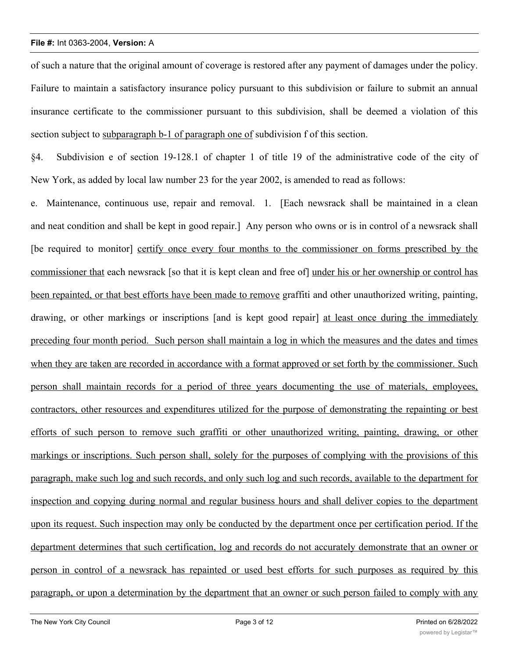of such a nature that the original amount of coverage is restored after any payment of damages under the policy. Failure to maintain a satisfactory insurance policy pursuant to this subdivision or failure to submit an annual insurance certificate to the commissioner pursuant to this subdivision, shall be deemed a violation of this section subject to subparagraph b-1 of paragraph one of subdivision f of this section.

§4. Subdivision e of section 19-128.1 of chapter 1 of title 19 of the administrative code of the city of New York, as added by local law number 23 for the year 2002, is amended to read as follows:

e. Maintenance, continuous use, repair and removal. 1. [Each newsrack shall be maintained in a clean and neat condition and shall be kept in good repair.] Any person who owns or is in control of a newsrack shall [be required to monitor] certify once every four months to the commissioner on forms prescribed by the commissioner that each newsrack [so that it is kept clean and free of] under his or her ownership or control has been repainted, or that best efforts have been made to remove graffiti and other unauthorized writing, painting, drawing, or other markings or inscriptions [and is kept good repair] at least once during the immediately preceding four month period. Such person shall maintain a log in which the measures and the dates and times when they are taken are recorded in accordance with a format approved or set forth by the commissioner. Such person shall maintain records for a period of three years documenting the use of materials, employees, contractors, other resources and expenditures utilized for the purpose of demonstrating the repainting or best efforts of such person to remove such graffiti or other unauthorized writing, painting, drawing, or other markings or inscriptions. Such person shall, solely for the purposes of complying with the provisions of this paragraph, make such log and such records, and only such log and such records, available to the department for inspection and copying during normal and regular business hours and shall deliver copies to the department upon its request. Such inspection may only be conducted by the department once per certification period. If the department determines that such certification, log and records do not accurately demonstrate that an owner or person in control of a newsrack has repainted or used best efforts for such purposes as required by this paragraph, or upon a determination by the department that an owner or such person failed to comply with any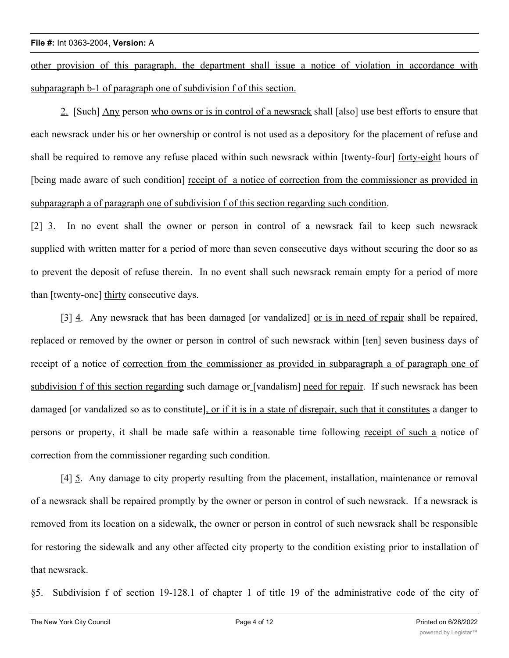other provision of this paragraph, the department shall issue a notice of violation in accordance with subparagraph b-1 of paragraph one of subdivision f of this section.

2. [Such] Any person who owns or is in control of a newsrack shall [also] use best efforts to ensure that each newsrack under his or her ownership or control is not used as a depository for the placement of refuse and shall be required to remove any refuse placed within such newsrack within [twenty-four] forty-eight hours of [being made aware of such condition] receipt of a notice of correction from the commissioner as provided in subparagraph a of paragraph one of subdivision f of this section regarding such condition.

[2] 3. In no event shall the owner or person in control of a newsrack fail to keep such newsrack supplied with written matter for a period of more than seven consecutive days without securing the door so as to prevent the deposit of refuse therein. In no event shall such newsrack remain empty for a period of more than [twenty-one] thirty consecutive days.

[3]  $\frac{4}{1}$ . Any newsrack that has been damaged [or vandalized] <u>or is in need of repair</u> shall be repaired, replaced or removed by the owner or person in control of such newsrack within [ten] seven business days of receipt of a notice of correction from the commissioner as provided in subparagraph a of paragraph one of subdivision f of this section regarding such damage or [vandalism] need for repair. If such newsrack has been damaged [or vandalized so as to constitute], or if it is in a state of disrepair, such that it constitutes a danger to persons or property, it shall be made safe within a reasonable time following receipt of such a notice of correction from the commissioner regarding such condition.

[4] 5. Any damage to city property resulting from the placement, installation, maintenance or removal of a newsrack shall be repaired promptly by the owner or person in control of such newsrack. If a newsrack is removed from its location on a sidewalk, the owner or person in control of such newsrack shall be responsible for restoring the sidewalk and any other affected city property to the condition existing prior to installation of that newsrack.

§5. Subdivision f of section 19-128.1 of chapter 1 of title 19 of the administrative code of the city of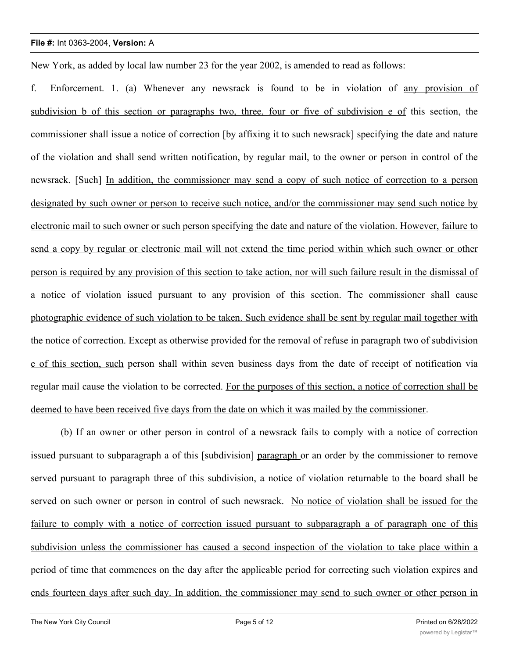New York, as added by local law number 23 for the year 2002, is amended to read as follows:

f. Enforcement. 1. (a) Whenever any newsrack is found to be in violation of any provision of subdivision b of this section or paragraphs two, three, four or five of subdivision e of this section, the commissioner shall issue a notice of correction [by affixing it to such newsrack] specifying the date and nature of the violation and shall send written notification, by regular mail, to the owner or person in control of the newsrack. [Such] In addition, the commissioner may send a copy of such notice of correction to a person designated by such owner or person to receive such notice, and/or the commissioner may send such notice by electronic mail to such owner or such person specifying the date and nature of the violation. However, failure to send a copy by regular or electronic mail will not extend the time period within which such owner or other person is required by any provision of this section to take action, nor will such failure result in the dismissal of a notice of violation issued pursuant to any provision of this section. The commissioner shall cause photographic evidence of such violation to be taken. Such evidence shall be sent by regular mail together with the notice of correction. Except as otherwise provided for the removal of refuse in paragraph two of subdivision e of this section, such person shall within seven business days from the date of receipt of notification via regular mail cause the violation to be corrected. For the purposes of this section, a notice of correction shall be deemed to have been received five days from the date on which it was mailed by the commissioner.

(b) If an owner or other person in control of a newsrack fails to comply with a notice of correction issued pursuant to subparagraph a of this [subdivision] paragraph or an order by the commissioner to remove served pursuant to paragraph three of this subdivision, a notice of violation returnable to the board shall be served on such owner or person in control of such newsrack. No notice of violation shall be issued for the failure to comply with a notice of correction issued pursuant to subparagraph a of paragraph one of this subdivision unless the commissioner has caused a second inspection of the violation to take place within a period of time that commences on the day after the applicable period for correcting such violation expires and ends fourteen days after such day. In addition, the commissioner may send to such owner or other person in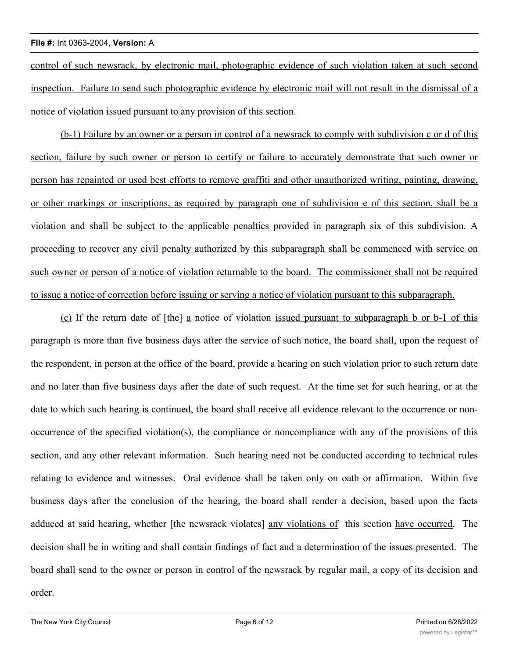control of such newsrack, by electronic mail, photographic evidence of such violation taken at such second inspection. Failure to send such photographic evidence by electronic mail will not result in the dismissal of a notice of violation issued pursuant to any provision of this section.

(b-1) Failure by an owner or a person in control of a newsrack to comply with subdivision c or d of this section, failure by such owner or person to certify or failure to accurately demonstrate that such owner or person has repainted or used best efforts to remove graffiti and other unauthorized writing, painting, drawing, or other markings or inscriptions, as required by paragraph one of subdivision e of this section, shall be a violation and shall be subject to the applicable penalties provided in paragraph six of this subdivision. A proceeding to recover any civil penalty authorized by this subparagraph shall be commenced with service on such owner or person of a notice of violation returnable to the board. The commissioner shall not be required to issue a notice of correction before issuing or serving a notice of violation pursuant to this subparagraph.

(c) If the return date of [the] a notice of violation issued pursuant to subparagraph b or b-1 of this paragraph is more than five business days after the service of such notice, the board shall, upon the request of the respondent, in person at the office of the board, provide a hearing on such violation prior to such return date and no later than five business days after the date of such request. At the time set for such hearing, or at the date to which such hearing is continued, the board shall receive all evidence relevant to the occurrence or nonoccurrence of the specified violation(s), the compliance or noncompliance with any of the provisions of this section, and any other relevant information. Such hearing need not be conducted according to technical rules relating to evidence and witnesses. Oral evidence shall be taken only on oath or affirmation. Within five business days after the conclusion of the hearing, the board shall render a decision, based upon the facts adduced at said hearing, whether [the newsrack violates] any violations of this section have occurred. The decision shall be in writing and shall contain findings of fact and a determination of the issues presented. The board shall send to the owner or person in control of the newsrack by regular mail, a copy of its decision and order.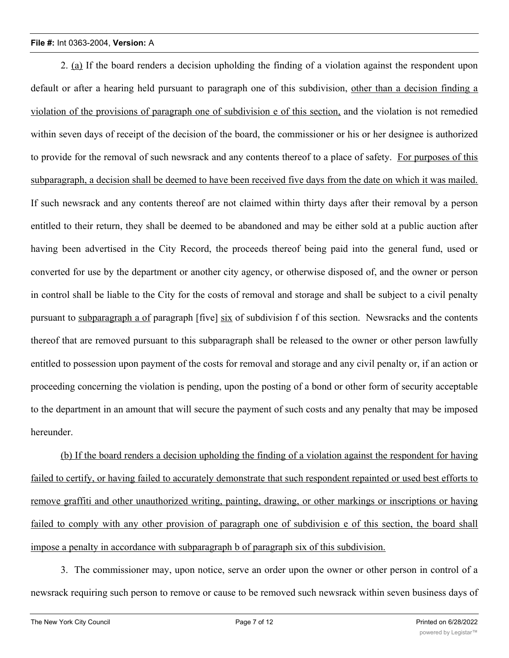2. (a) If the board renders a decision upholding the finding of a violation against the respondent upon default or after a hearing held pursuant to paragraph one of this subdivision, other than a decision finding a violation of the provisions of paragraph one of subdivision e of this section, and the violation is not remedied within seven days of receipt of the decision of the board, the commissioner or his or her designee is authorized to provide for the removal of such newsrack and any contents thereof to a place of safety. For purposes of this subparagraph, a decision shall be deemed to have been received five days from the date on which it was mailed. If such newsrack and any contents thereof are not claimed within thirty days after their removal by a person entitled to their return, they shall be deemed to be abandoned and may be either sold at a public auction after having been advertised in the City Record, the proceeds thereof being paid into the general fund, used or converted for use by the department or another city agency, or otherwise disposed of, and the owner or person in control shall be liable to the City for the costs of removal and storage and shall be subject to a civil penalty pursuant to subparagraph a of paragraph [five] six of subdivision f of this section. Newsracks and the contents thereof that are removed pursuant to this subparagraph shall be released to the owner or other person lawfully entitled to possession upon payment of the costs for removal and storage and any civil penalty or, if an action or proceeding concerning the violation is pending, upon the posting of a bond or other form of security acceptable to the department in an amount that will secure the payment of such costs and any penalty that may be imposed hereunder.

(b) If the board renders a decision upholding the finding of a violation against the respondent for having failed to certify, or having failed to accurately demonstrate that such respondent repainted or used best efforts to remove graffiti and other unauthorized writing, painting, drawing, or other markings or inscriptions or having failed to comply with any other provision of paragraph one of subdivision e of this section, the board shall impose a penalty in accordance with subparagraph b of paragraph six of this subdivision.

3. The commissioner may, upon notice, serve an order upon the owner or other person in control of a newsrack requiring such person to remove or cause to be removed such newsrack within seven business days of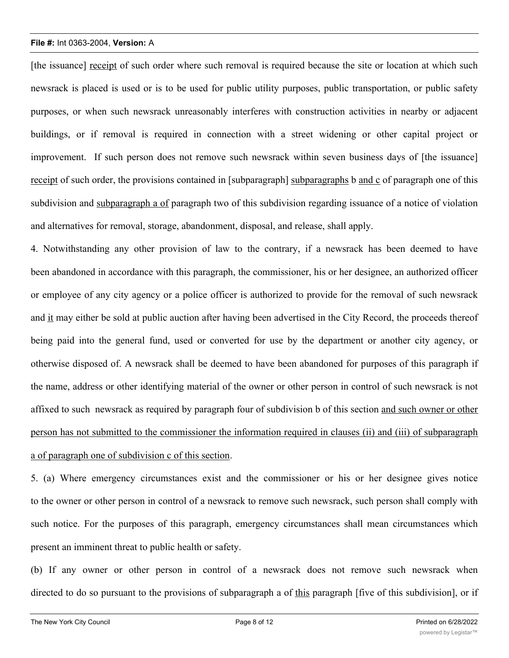[the issuance] receipt of such order where such removal is required because the site or location at which such newsrack is placed is used or is to be used for public utility purposes, public transportation, or public safety purposes, or when such newsrack unreasonably interferes with construction activities in nearby or adjacent buildings, or if removal is required in connection with a street widening or other capital project or improvement. If such person does not remove such newsrack within seven business days of [the issuance] receipt of such order, the provisions contained in [subparagraph] subparagraphs b and c of paragraph one of this subdivision and subparagraph a of paragraph two of this subdivision regarding issuance of a notice of violation and alternatives for removal, storage, abandonment, disposal, and release, shall apply.

4. Notwithstanding any other provision of law to the contrary, if a newsrack has been deemed to have been abandoned in accordance with this paragraph, the commissioner, his or her designee, an authorized officer or employee of any city agency or a police officer is authorized to provide for the removal of such newsrack and it may either be sold at public auction after having been advertised in the City Record, the proceeds thereof being paid into the general fund, used or converted for use by the department or another city agency, or otherwise disposed of. A newsrack shall be deemed to have been abandoned for purposes of this paragraph if the name, address or other identifying material of the owner or other person in control of such newsrack is not affixed to such newsrack as required by paragraph four of subdivision b of this section and such owner or other person has not submitted to the commissioner the information required in clauses (ii) and (iii) of subparagraph a of paragraph one of subdivision c of this section.

5. (a) Where emergency circumstances exist and the commissioner or his or her designee gives notice to the owner or other person in control of a newsrack to remove such newsrack, such person shall comply with such notice. For the purposes of this paragraph, emergency circumstances shall mean circumstances which present an imminent threat to public health or safety.

(b) If any owner or other person in control of a newsrack does not remove such newsrack when directed to do so pursuant to the provisions of subparagraph a of this paragraph [five of this subdivision], or if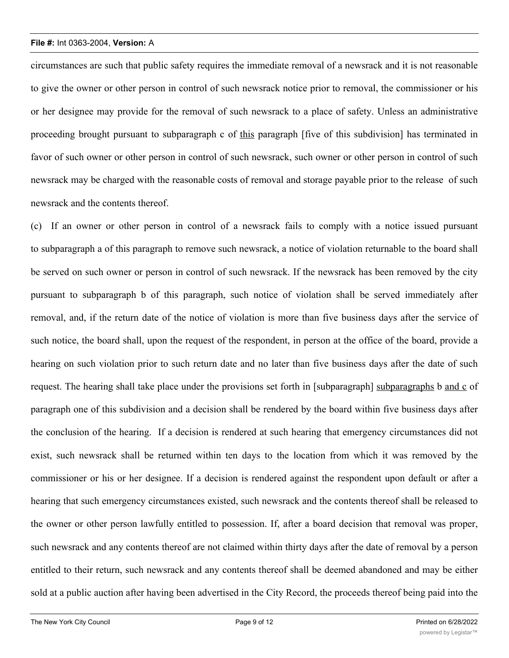circumstances are such that public safety requires the immediate removal of a newsrack and it is not reasonable to give the owner or other person in control of such newsrack notice prior to removal, the commissioner or his or her designee may provide for the removal of such newsrack to a place of safety. Unless an administrative proceeding brought pursuant to subparagraph c of this paragraph [five of this subdivision] has terminated in favor of such owner or other person in control of such newsrack, such owner or other person in control of such newsrack may be charged with the reasonable costs of removal and storage payable prior to the release of such newsrack and the contents thereof.

(c) If an owner or other person in control of a newsrack fails to comply with a notice issued pursuant to subparagraph a of this paragraph to remove such newsrack, a notice of violation returnable to the board shall be served on such owner or person in control of such newsrack. If the newsrack has been removed by the city pursuant to subparagraph b of this paragraph, such notice of violation shall be served immediately after removal, and, if the return date of the notice of violation is more than five business days after the service of such notice, the board shall, upon the request of the respondent, in person at the office of the board, provide a hearing on such violation prior to such return date and no later than five business days after the date of such request. The hearing shall take place under the provisions set forth in [subparagraph] subparagraphs b and c of paragraph one of this subdivision and a decision shall be rendered by the board within five business days after the conclusion of the hearing. If a decision is rendered at such hearing that emergency circumstances did not exist, such newsrack shall be returned within ten days to the location from which it was removed by the commissioner or his or her designee. If a decision is rendered against the respondent upon default or after a hearing that such emergency circumstances existed, such newsrack and the contents thereof shall be released to the owner or other person lawfully entitled to possession. If, after a board decision that removal was proper, such newsrack and any contents thereof are not claimed within thirty days after the date of removal by a person entitled to their return, such newsrack and any contents thereof shall be deemed abandoned and may be either sold at a public auction after having been advertised in the City Record, the proceeds thereof being paid into the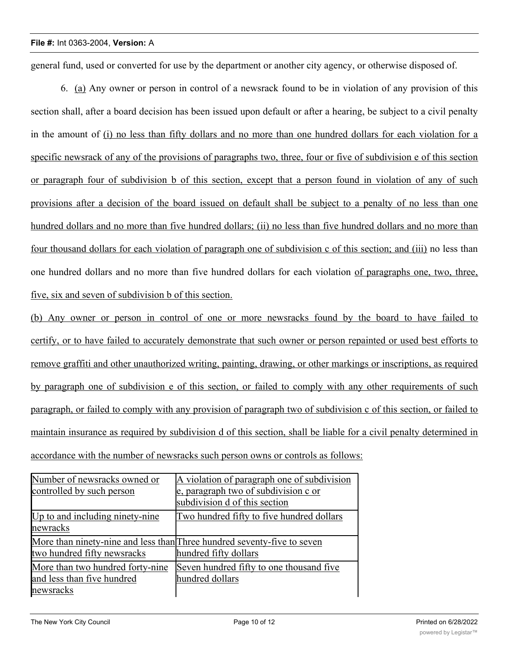general fund, used or converted for use by the department or another city agency, or otherwise disposed of.

6. (a) Any owner or person in control of a newsrack found to be in violation of any provision of this section shall, after a board decision has been issued upon default or after a hearing, be subject to a civil penalty in the amount of (i) no less than fifty dollars and no more than one hundred dollars for each violation for a specific newsrack of any of the provisions of paragraphs two, three, four or five of subdivision e of this section or paragraph four of subdivision b of this section, except that a person found in violation of any of such provisions after a decision of the board issued on default shall be subject to a penalty of no less than one hundred dollars and no more than five hundred dollars; (ii) no less than five hundred dollars and no more than four thousand dollars for each violation of paragraph one of subdivision c of this section; and (iii) no less than one hundred dollars and no more than five hundred dollars for each violation of paragraphs one, two, three, five, six and seven of subdivision b of this section.

(b) Any owner or person in control of one or more newsracks found by the board to have failed to certify, or to have failed to accurately demonstrate that such owner or person repainted or used best efforts to remove graffiti and other unauthorized writing, painting, drawing, or other markings or inscriptions, as required by paragraph one of subdivision e of this section, or failed to comply with any other requirements of such paragraph, or failed to comply with any provision of paragraph two of subdivision c of this section, or failed to maintain insurance as required by subdivision d of this section, shall be liable for a civil penalty determined in accordance with the number of newsracks such person owns or controls as follows:

| Number of newsracks owned or                | A violation of paragraph one of subdivision                                                      |
|---------------------------------------------|--------------------------------------------------------------------------------------------------|
| controlled by such person                   | e, paragraph two of subdivision c or                                                             |
|                                             | subdivision d of this section                                                                    |
| Up to and including ninety-nine<br>newracks | Two hundred fifty to five hundred dollars                                                        |
| two hundred fifty newsracks                 | More than ninety-nine and less than Three hundred seventy-five to seven<br>hundred fifty dollars |
|                                             |                                                                                                  |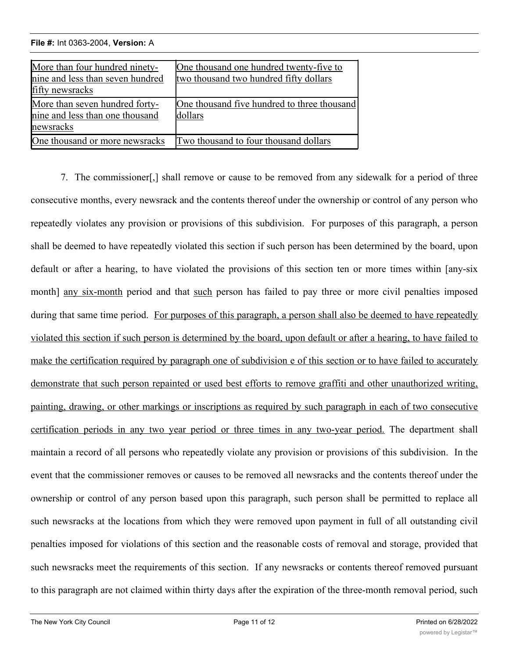<u>newsraeth a ch</u>

More than two hundred forty-nine

| More than four hundred ninety-<br>nine and less than seven hundred<br>fifty newsracks | One thousand one hundred twenty-five to<br>two thousand two hundred fifty dollars |
|---------------------------------------------------------------------------------------|-----------------------------------------------------------------------------------|
| More than seven hundred forty-<br>nine and less than one thousand<br>newsracks        | One thousand five hundred to three thousand<br>dollars                            |
| One thousand or more newsracks                                                        | Two thousand to four thousand dollars                                             |

7. The commissioner[,] shall remove or cause to be removed from any sidewalk for a period of three consecutive months, every newsrack and the contents thereof under the ownership or control of any person who repeatedly violates any provision or provisions of this subdivision. For purposes of this paragraph, a person shall be deemed to have repeatedly violated this section if such person has been determined by the board, upon default or after a hearing, to have violated the provisions of this section ten or more times within [any-six month] any six-month period and that such person has failed to pay three or more civil penalties imposed during that same time period. For purposes of this paragraph, a person shall also be deemed to have repeatedly violated this section if such person is determined by the board, upon default or after a hearing, to have failed to make the certification required by paragraph one of subdivision e of this section or to have failed to accurately demonstrate that such person repainted or used best efforts to remove graffiti and other unauthorized writing, painting, drawing, or other markings or inscriptions as required by such paragraph in each of two consecutive certification periods in any two year period or three times in any two-year period. The department shall maintain a record of all persons who repeatedly violate any provision or provisions of this subdivision. In the event that the commissioner removes or causes to be removed all newsracks and the contents thereof under the ownership or control of any person based upon this paragraph, such person shall be permitted to replace all such newsracks at the locations from which they were removed upon payment in full of all outstanding civil penalties imposed for violations of this section and the reasonable costs of removal and storage, provided that such newsracks meet the requirements of this section. If any newsracks or contents thereof removed pursuant to this paragraph are not claimed within thirty days after the expiration of the three-month removal period, such

Seven hundred fifty to one thousand five